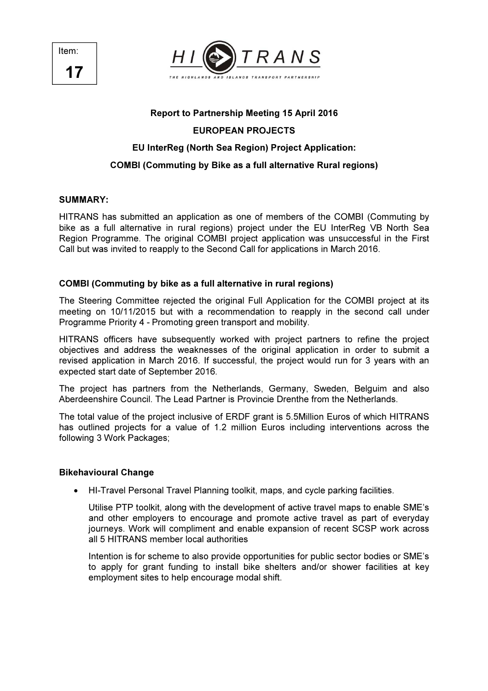



### Report to Partnership Meeting 15 April 2016

# EUROPEAN PROJECTS

## EU InterReg (North Sea Region) Project Application:

## COMBI (Commuting by Bike as a full alternative Rural regions)

### SUMMARY:

HITRANS has submitted an application as one of members of the COMBI (Commuting by bike as a full alternative in rural regions) project under the EU InterReg VB North Sea Region Programme. The original COMBI project application was unsuccessful in the First Call but was invited to reapply to the Second Call for applications in March 2016.

## COMBI (Commuting by bike as a full alternative in rural regions)

The Steering Committee rejected the original Full Application for the COMBI project at its meeting on 10/11/2015 but with a recommendation to reapply in the second call under Programme Priority 4 - Promoting green transport and mobility.

HITRANS officers have subsequently worked with project partners to refine the project objectives and address the weaknesses of the original application in order to submit a revised application in March 2016. If successful, the project would run for 3 years with an expected start date of September 2016.

The project has partners from the Netherlands, Germany, Sweden, Belguim and also Aberdeenshire Council. The Lead Partner is Provincie Drenthe from the Netherlands.

The total value of the project inclusive of ERDF grant is 5.5Million Euros of which HITRANS has outlined projects for a value of 1.2 million Euros including interventions across the following 3 Work Packages;

## Bikehavioural Change

• HI-Travel Personal Travel Planning toolkit, maps, and cycle parking facilities.

Utilise PTP toolkit, along with the development of active travel maps to enable SME's and other employers to encourage and promote active travel as part of everyday journeys. Work will compliment and enable expansion of recent SCSP work across all 5 HITRANS member local authorities

Intention is for scheme to also provide opportunities for public sector bodies or SME's to apply for grant funding to install bike shelters and/or shower facilities at key employment sites to help encourage modal shift.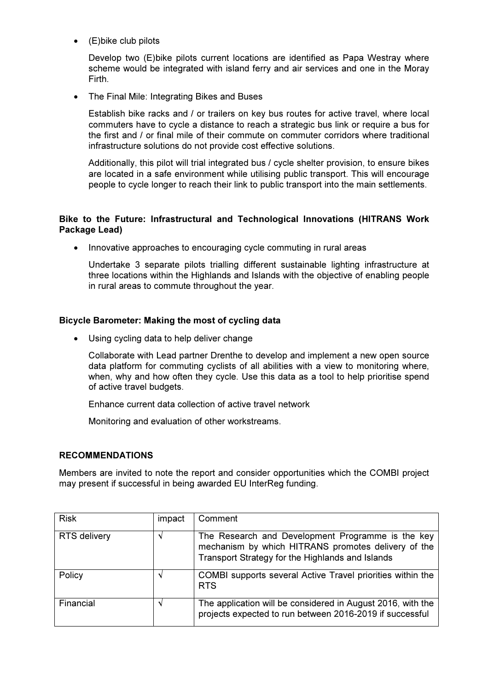• (E)bike club pilots

Develop two (E)bike pilots current locations are identified as Papa Westray where scheme would be integrated with island ferry and air services and one in the Moray Firth.

• The Final Mile: Integrating Bikes and Buses

Establish bike racks and / or trailers on key bus routes for active travel, where local commuters have to cycle a distance to reach a strategic bus link or require a bus for the first and / or final mile of their commute on commuter corridors where traditional infrastructure solutions do not provide cost effective solutions.

Additionally, this pilot will trial integrated bus / cycle shelter provision, to ensure bikes are located in a safe environment while utilising public transport. This will encourage people to cycle longer to reach their link to public transport into the main settlements.

## Bike to the Future: Infrastructural and Technological Innovations (HITRANS Work Package Lead)

• Innovative approaches to encouraging cycle commuting in rural areas

Undertake 3 separate pilots trialling different sustainable lighting infrastructure at three locations within the Highlands and Islands with the objective of enabling people in rural areas to commute throughout the year.

### Bicycle Barometer: Making the most of cycling data

Using cycling data to help deliver change

Collaborate with Lead partner Drenthe to develop and implement a new open source data platform for commuting cyclists of all abilities with a view to monitoring where, when, why and how often they cycle. Use this data as a tool to help prioritise spend of active travel budgets.

Enhance current data collection of active travel network

Monitoring and evaluation of other workstreams.

#### RECOMMENDATIONS

Members are invited to note the report and consider opportunities which the COMBI project may present if successful in being awarded EU InterReg funding.

| <b>Risk</b>         | impact | Comment                                                                                                                                                      |
|---------------------|--------|--------------------------------------------------------------------------------------------------------------------------------------------------------------|
| <b>RTS</b> delivery |        | The Research and Development Programme is the key<br>mechanism by which HITRANS promotes delivery of the<br>Transport Strategy for the Highlands and Islands |
| Policy              |        | COMBI supports several Active Travel priorities within the<br><b>RTS</b>                                                                                     |
| Financial           |        | The application will be considered in August 2016, with the<br>projects expected to run between 2016-2019 if successful                                      |